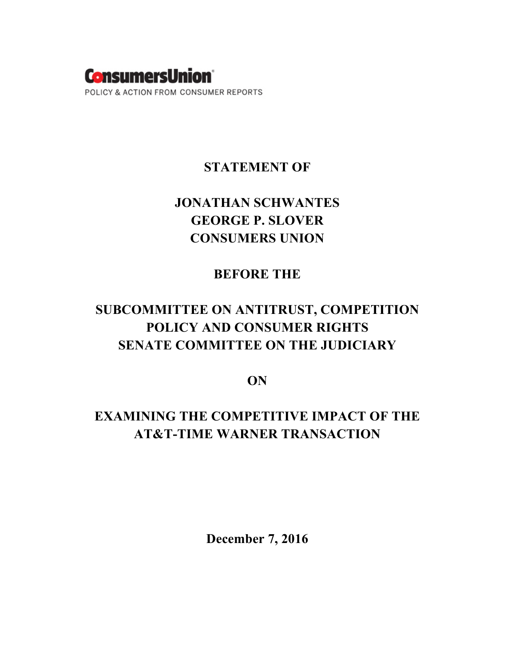

### **STATEMENT OF**

# **JONATHAN SCHWANTES GEORGE P. SLOVER CONSUMERS UNION**

## **BEFORE THE**

# **SUBCOMMITTEE ON ANTITRUST, COMPETITION POLICY AND CONSUMER RIGHTS SENATE COMMITTEE ON THE JUDICIARY**

**ON**

# **EXAMINING THE COMPETITIVE IMPACT OF THE AT&T-TIME WARNER TRANSACTION**

**December 7, 2016**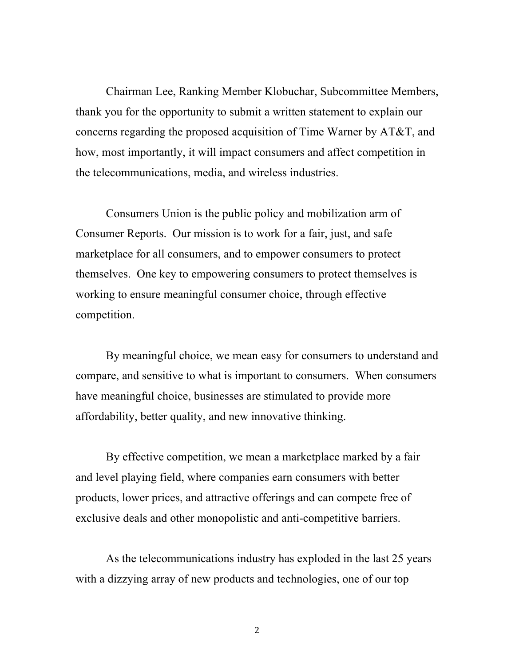Chairman Lee, Ranking Member Klobuchar, Subcommittee Members, thank you for the opportunity to submit a written statement to explain our concerns regarding the proposed acquisition of Time Warner by AT&T, and how, most importantly, it will impact consumers and affect competition in the telecommunications, media, and wireless industries.

Consumers Union is the public policy and mobilization arm of Consumer Reports. Our mission is to work for a fair, just, and safe marketplace for all consumers, and to empower consumers to protect themselves. One key to empowering consumers to protect themselves is working to ensure meaningful consumer choice, through effective competition.

By meaningful choice, we mean easy for consumers to understand and compare, and sensitive to what is important to consumers. When consumers have meaningful choice, businesses are stimulated to provide more affordability, better quality, and new innovative thinking.

By effective competition, we mean a marketplace marked by a fair and level playing field, where companies earn consumers with better products, lower prices, and attractive offerings and can compete free of exclusive deals and other monopolistic and anti-competitive barriers.

As the telecommunications industry has exploded in the last 25 years with a dizzying array of new products and technologies, one of our top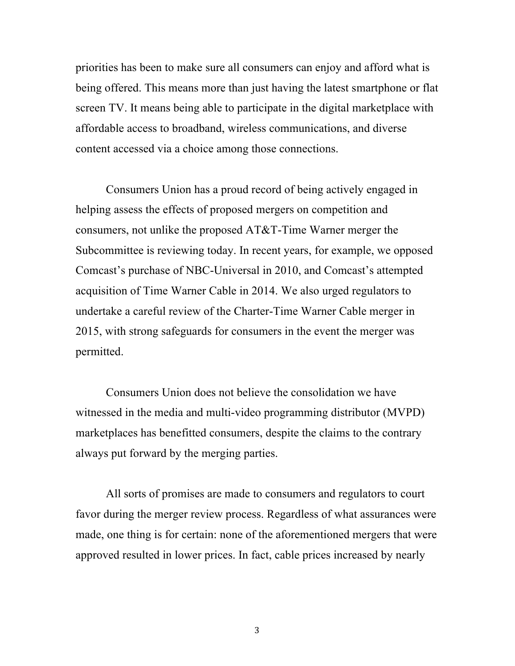priorities has been to make sure all consumers can enjoy and afford what is being offered. This means more than just having the latest smartphone or flat screen TV. It means being able to participate in the digital marketplace with affordable access to broadband, wireless communications, and diverse content accessed via a choice among those connections.

Consumers Union has a proud record of being actively engaged in helping assess the effects of proposed mergers on competition and consumers, not unlike the proposed AT&T-Time Warner merger the Subcommittee is reviewing today. In recent years, for example, we opposed Comcast's purchase of NBC-Universal in 2010, and Comcast's attempted acquisition of Time Warner Cable in 2014. We also urged regulators to undertake a careful review of the Charter-Time Warner Cable merger in 2015, with strong safeguards for consumers in the event the merger was permitted.

Consumers Union does not believe the consolidation we have witnessed in the media and multi-video programming distributor (MVPD) marketplaces has benefitted consumers, despite the claims to the contrary always put forward by the merging parties.

All sorts of promises are made to consumers and regulators to court favor during the merger review process. Regardless of what assurances were made, one thing is for certain: none of the aforementioned mergers that were approved resulted in lower prices. In fact, cable prices increased by nearly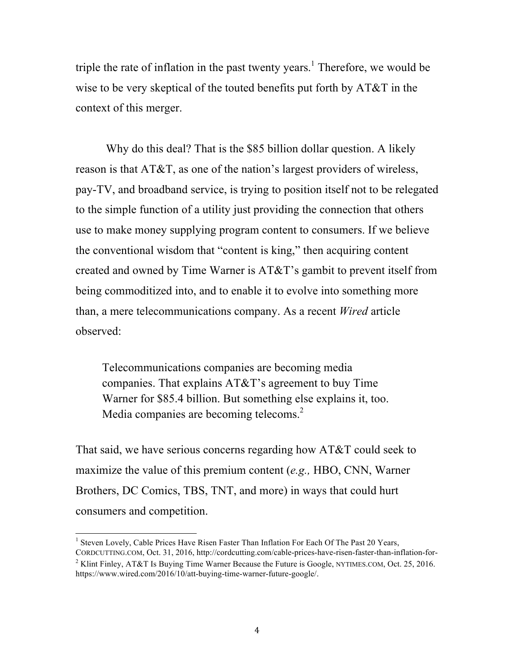triple the rate of inflation in the past twenty years.<sup>1</sup> Therefore, we would be wise to be very skeptical of the touted benefits put forth by AT&T in the context of this merger.

Why do this deal? That is the \$85 billion dollar question. A likely reason is that AT&T, as one of the nation's largest providers of wireless, pay-TV, and broadband service, is trying to position itself not to be relegated to the simple function of a utility just providing the connection that others use to make money supplying program content to consumers. If we believe the conventional wisdom that "content is king," then acquiring content created and owned by Time Warner is AT&T's gambit to prevent itself from being commoditized into, and to enable it to evolve into something more than, a mere telecommunications company. As a recent *Wired* article observed:

Telecommunications companies are becoming media companies. That explains AT&T's agreement to buy Time Warner for \$85.4 billion. But something else explains it, too. Media companies are becoming telecoms.<sup>2</sup>

That said, we have serious concerns regarding how AT&T could seek to maximize the value of this premium content (*e.g.,* HBO, CNN, Warner Brothers, DC Comics, TBS, TNT, and more) in ways that could hurt consumers and competition.

<sup>&</sup>lt;sup>1</sup> Steven Lovely, Cable Prices Have Risen Faster Than Inflation For Each Of The Past 20 Years, CORDCUTTING.COM, Oct. 31, 2016, http://cordcutting.com/cable-prices-have-risen-faster-than-inflation-for-

<sup>&</sup>lt;sup>2</sup> Klint Finley, AT&T Is Buying Time Warner Because the Future is Google, NYTIMES.COM, Oct. 25, 2016. https://www.wired.com/2016/10/att-buying-time-warner-future-google/.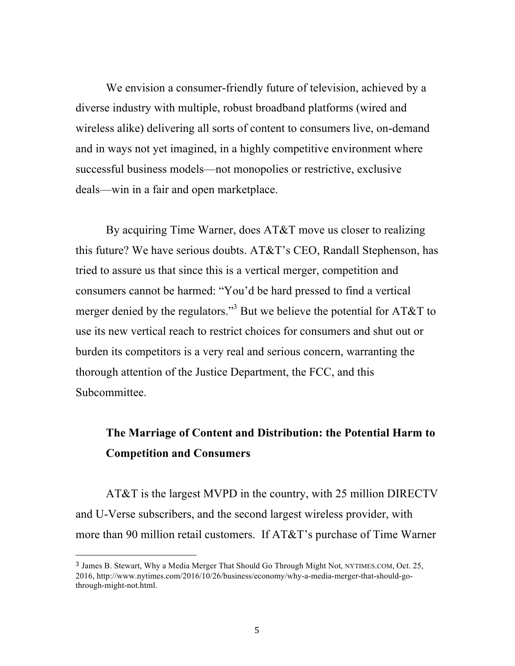We envision a consumer-friendly future of television, achieved by a diverse industry with multiple, robust broadband platforms (wired and wireless alike) delivering all sorts of content to consumers live, on-demand and in ways not yet imagined, in a highly competitive environment where successful business models—not monopolies or restrictive, exclusive deals—win in a fair and open marketplace.

By acquiring Time Warner, does AT&T move us closer to realizing this future? We have serious doubts. AT&T's CEO, Randall Stephenson, has tried to assure us that since this is a vertical merger, competition and consumers cannot be harmed: "You'd be hard pressed to find a vertical merger denied by the regulators."<sup>3</sup> But we believe the potential for AT&T to use its new vertical reach to restrict choices for consumers and shut out or burden its competitors is a very real and serious concern, warranting the thorough attention of the Justice Department, the FCC, and this Subcommittee.

## **The Marriage of Content and Distribution: the Potential Harm to Competition and Consumers**

AT&T is the largest MVPD in the country, with 25 million DIRECTV and U-Verse subscribers, and the second largest wireless provider, with more than 90 million retail customers. If AT&T's purchase of Time Warner

<sup>3</sup> James B. Stewart, Why a Media Merger That Should Go Through Might Not, NYTIMES.COM, Oct. 25, 2016, http://www.nytimes.com/2016/10/26/business/economy/why-a-media-merger-that-should-gothrough-might-not.html.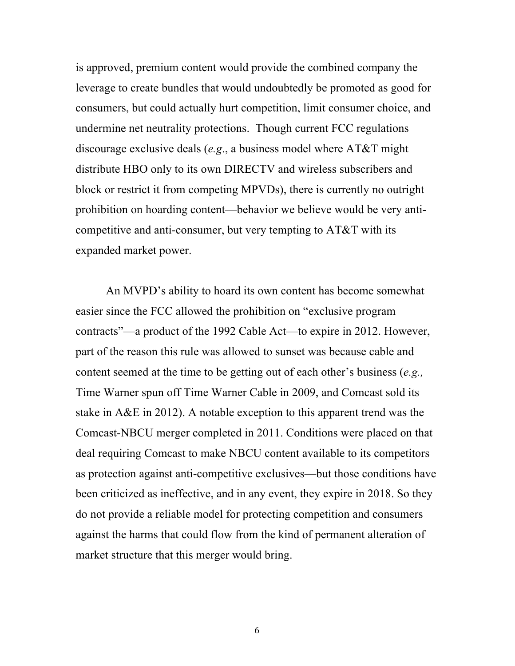is approved, premium content would provide the combined company the leverage to create bundles that would undoubtedly be promoted as good for consumers, but could actually hurt competition, limit consumer choice, and undermine net neutrality protections. Though current FCC regulations discourage exclusive deals (*e.g*., a business model where AT&T might distribute HBO only to its own DIRECTV and wireless subscribers and block or restrict it from competing MPVDs), there is currently no outright prohibition on hoarding content—behavior we believe would be very anticompetitive and anti-consumer, but very tempting to AT&T with its expanded market power.

An MVPD's ability to hoard its own content has become somewhat easier since the FCC allowed the prohibition on "exclusive program contracts"—a product of the 1992 Cable Act—to expire in 2012. However, part of the reason this rule was allowed to sunset was because cable and content seemed at the time to be getting out of each other's business (*e.g.,* Time Warner spun off Time Warner Cable in 2009, and Comcast sold its stake in A&E in 2012). A notable exception to this apparent trend was the Comcast-NBCU merger completed in 2011. Conditions were placed on that deal requiring Comcast to make NBCU content available to its competitors as protection against anti-competitive exclusives—but those conditions have been criticized as ineffective, and in any event, they expire in 2018. So they do not provide a reliable model for protecting competition and consumers against the harms that could flow from the kind of permanent alteration of market structure that this merger would bring.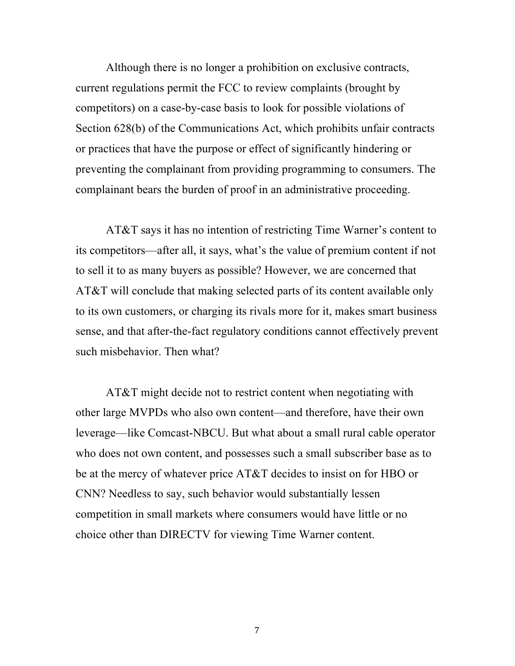Although there is no longer a prohibition on exclusive contracts, current regulations permit the FCC to review complaints (brought by competitors) on a case-by-case basis to look for possible violations of Section 628(b) of the Communications Act, which prohibits unfair contracts or practices that have the purpose or effect of significantly hindering or preventing the complainant from providing programming to consumers. The complainant bears the burden of proof in an administrative proceeding.

AT&T says it has no intention of restricting Time Warner's content to its competitors—after all, it says, what's the value of premium content if not to sell it to as many buyers as possible? However, we are concerned that AT&T will conclude that making selected parts of its content available only to its own customers, or charging its rivals more for it, makes smart business sense, and that after-the-fact regulatory conditions cannot effectively prevent such misbehavior. Then what?

AT&T might decide not to restrict content when negotiating with other large MVPDs who also own content—and therefore, have their own leverage—like Comcast-NBCU. But what about a small rural cable operator who does not own content, and possesses such a small subscriber base as to be at the mercy of whatever price AT&T decides to insist on for HBO or CNN? Needless to say, such behavior would substantially lessen competition in small markets where consumers would have little or no choice other than DIRECTV for viewing Time Warner content.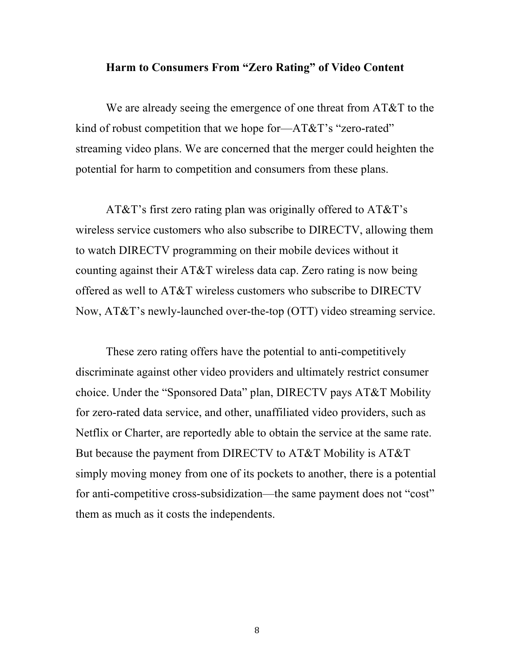#### **Harm to Consumers From "Zero Rating" of Video Content**

We are already seeing the emergence of one threat from AT&T to the kind of robust competition that we hope for—AT&T's "zero-rated" streaming video plans. We are concerned that the merger could heighten the potential for harm to competition and consumers from these plans.

AT&T's first zero rating plan was originally offered to AT&T's wireless service customers who also subscribe to DIRECTV, allowing them to watch DIRECTV programming on their mobile devices without it counting against their AT&T wireless data cap. Zero rating is now being offered as well to AT&T wireless customers who subscribe to DIRECTV Now, AT&T's newly-launched over-the-top (OTT) video streaming service.

These zero rating offers have the potential to anti-competitively discriminate against other video providers and ultimately restrict consumer choice. Under the "Sponsored Data" plan, DIRECTV pays AT&T Mobility for zero-rated data service, and other, unaffiliated video providers, such as Netflix or Charter, are reportedly able to obtain the service at the same rate. But because the payment from DIRECTV to AT&T Mobility is AT&T simply moving money from one of its pockets to another, there is a potential for anti-competitive cross-subsidization—the same payment does not "cost" them as much as it costs the independents.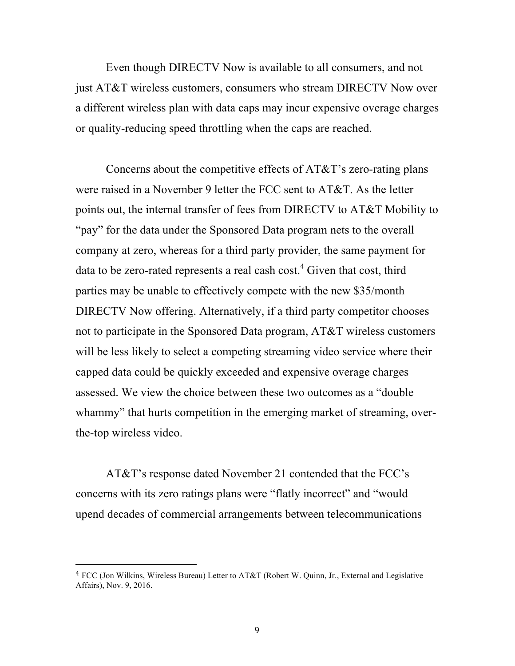Even though DIRECTV Now is available to all consumers, and not just AT&T wireless customers, consumers who stream DIRECTV Now over a different wireless plan with data caps may incur expensive overage charges or quality-reducing speed throttling when the caps are reached.

Concerns about the competitive effects of AT&T's zero-rating plans were raised in a November 9 letter the FCC sent to AT&T. As the letter points out, the internal transfer of fees from DIRECTV to AT&T Mobility to "pay" for the data under the Sponsored Data program nets to the overall company at zero, whereas for a third party provider, the same payment for data to be zero-rated represents a real cash  $cost<sup>4</sup>$ . Given that cost, third parties may be unable to effectively compete with the new \$35/month DIRECTV Now offering. Alternatively, if a third party competitor chooses not to participate in the Sponsored Data program, AT&T wireless customers will be less likely to select a competing streaming video service where their capped data could be quickly exceeded and expensive overage charges assessed. We view the choice between these two outcomes as a "double whammy" that hurts competition in the emerging market of streaming, overthe-top wireless video.

AT&T's response dated November 21 contended that the FCC's concerns with its zero ratings plans were "flatly incorrect" and "would upend decades of commercial arrangements between telecommunications

 $4$  FCC (Jon Wilkins, Wireless Bureau) Letter to AT&T (Robert W. Quinn, Jr., External and Legislative Affairs), Nov. 9, 2016.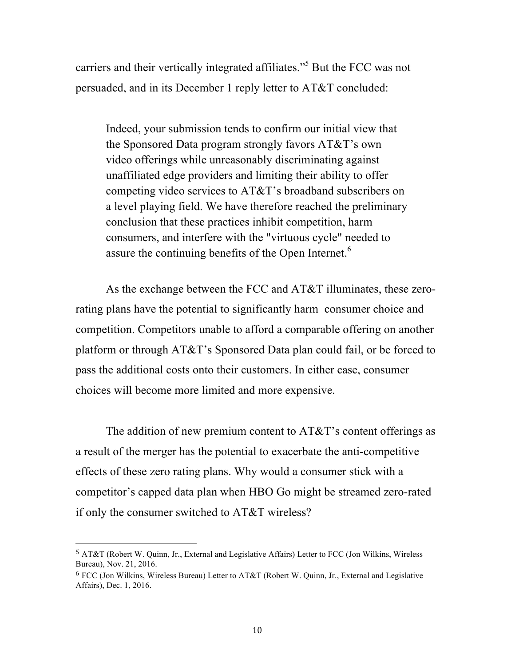carriers and their vertically integrated affiliates."<sup>5</sup> But the FCC was not persuaded, and in its December 1 reply letter to AT&T concluded:

Indeed, your submission tends to confirm our initial view that the Sponsored Data program strongly favors AT&T's own video offerings while unreasonably discriminating against unaffiliated edge providers and limiting their ability to offer competing video services to AT&T's broadband subscribers on a level playing field. We have therefore reached the preliminary conclusion that these practices inhibit competition, harm consumers, and interfere with the "virtuous cycle" needed to assure the continuing benefits of the Open Internet.<sup>6</sup>

As the exchange between the FCC and AT&T illuminates, these zerorating plans have the potential to significantly harm consumer choice and competition. Competitors unable to afford a comparable offering on another platform or through AT&T's Sponsored Data plan could fail, or be forced to pass the additional costs onto their customers. In either case, consumer choices will become more limited and more expensive.

The addition of new premium content to AT&T's content offerings as a result of the merger has the potential to exacerbate the anti-competitive effects of these zero rating plans. Why would a consumer stick with a competitor's capped data plan when HBO Go might be streamed zero-rated if only the consumer switched to AT&T wireless?

<u> 1989 - Johann Stein, marwolaethau a bh</u>

<sup>&</sup>lt;sup>5</sup> AT&T (Robert W. Quinn, Jr., External and Legislative Affairs) Letter to FCC (Jon Wilkins, Wireless Bureau), Nov. 21, 2016.

 $6$  FCC (Jon Wilkins, Wireless Bureau) Letter to AT&T (Robert W. Quinn, Jr., External and Legislative Affairs), Dec. 1, 2016.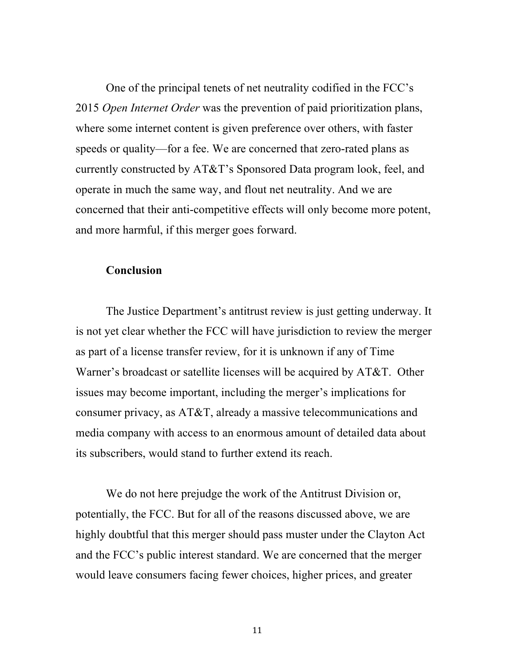One of the principal tenets of net neutrality codified in the FCC's 2015 *Open Internet Order* was the prevention of paid prioritization plans, where some internet content is given preference over others, with faster speeds or quality—for a fee. We are concerned that zero-rated plans as currently constructed by AT&T's Sponsored Data program look, feel, and operate in much the same way, and flout net neutrality. And we are concerned that their anti-competitive effects will only become more potent, and more harmful, if this merger goes forward.

### **Conclusion**

The Justice Department's antitrust review is just getting underway. It is not yet clear whether the FCC will have jurisdiction to review the merger as part of a license transfer review, for it is unknown if any of Time Warner's broadcast or satellite licenses will be acquired by AT&T. Other issues may become important, including the merger's implications for consumer privacy, as AT&T, already a massive telecommunications and media company with access to an enormous amount of detailed data about its subscribers, would stand to further extend its reach.

We do not here prejudge the work of the Antitrust Division or, potentially, the FCC. But for all of the reasons discussed above, we are highly doubtful that this merger should pass muster under the Clayton Act and the FCC's public interest standard. We are concerned that the merger would leave consumers facing fewer choices, higher prices, and greater